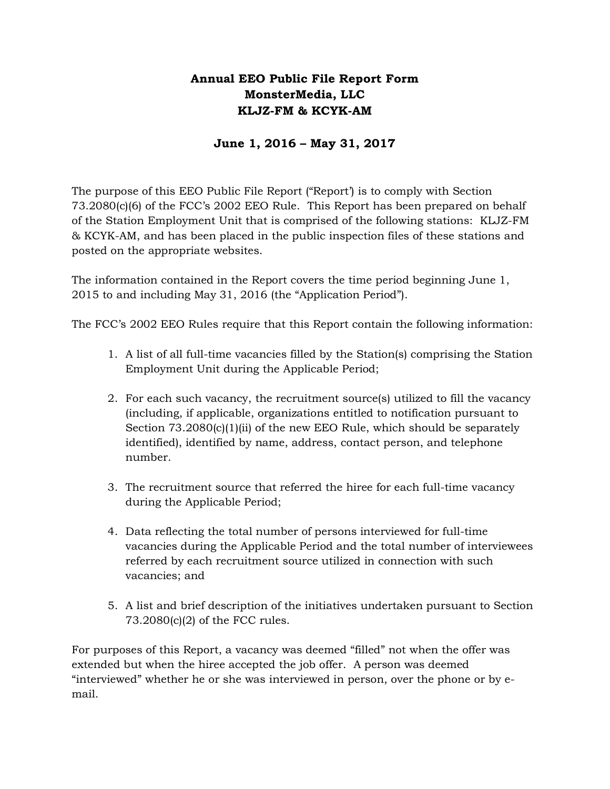# **Annual EEO Public File Report Form MonsterMedia, LLC KLJZ-FM & KCYK-AM**

### **June 1, 2016 – May 31, 2017**

The purpose of this EEO Public File Report ("Report') is to comply with Section 73.2080(c)(6) of the FCC's 2002 EEO Rule. This Report has been prepared on behalf of the Station Employment Unit that is comprised of the following stations: KLJZ-FM & KCYK-AM, and has been placed in the public inspection files of these stations and posted on the appropriate websites.

The information contained in the Report covers the time period beginning June 1, 2015 to and including May 31, 2016 (the "Application Period").

The FCC's 2002 EEO Rules require that this Report contain the following information:

- 1. A list of all full-time vacancies filled by the Station(s) comprising the Station Employment Unit during the Applicable Period;
- 2. For each such vacancy, the recruitment source(s) utilized to fill the vacancy (including, if applicable, organizations entitled to notification pursuant to Section  $73.2080(c)(1)(ii)$  of the new EEO Rule, which should be separately identified), identified by name, address, contact person, and telephone number.
- 3. The recruitment source that referred the hiree for each full-time vacancy during the Applicable Period;
- 4. Data reflecting the total number of persons interviewed for full-time vacancies during the Applicable Period and the total number of interviewees referred by each recruitment source utilized in connection with such vacancies; and
- 5. A list and brief description of the initiatives undertaken pursuant to Section 73.2080(c)(2) of the FCC rules.

For purposes of this Report, a vacancy was deemed "filled" not when the offer was extended but when the hiree accepted the job offer. A person was deemed "interviewed" whether he or she was interviewed in person, over the phone or by email.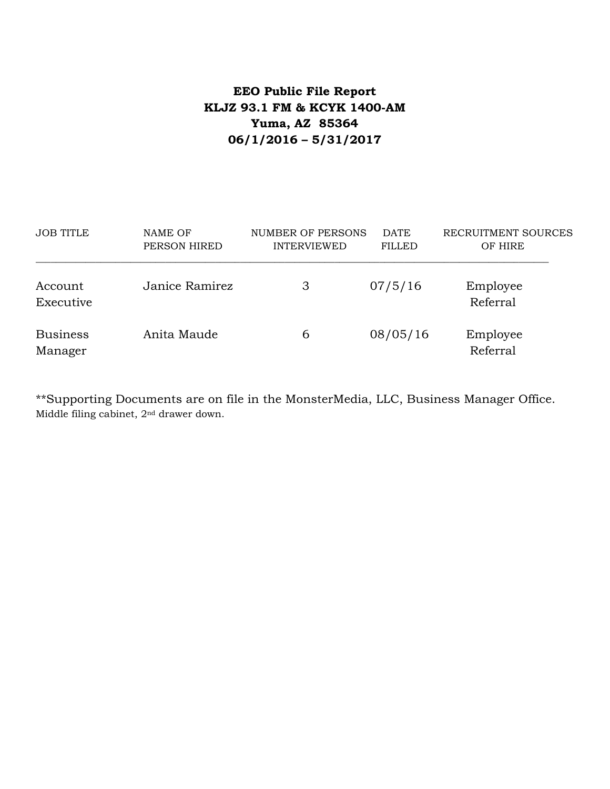# **EEO Public File Report KLJZ 93.1 FM & KCYK 1400-AM Yuma, AZ 85364 06/1/2016 – 5/31/2017**

| <b>JOB TITLE</b>           | NAME OF<br>PERSON HIRED | NUMBER OF PERSONS<br><b>INTERVIEWED</b> | <b>DATE</b><br><b>FILLED</b> | RECRUITMENT SOURCES<br>OF HIRE |
|----------------------------|-------------------------|-----------------------------------------|------------------------------|--------------------------------|
| Account<br>Executive       | Janice Ramirez          | 3                                       | 07/5/16                      | Employee<br>Referral           |
| <b>Business</b><br>Manager | Anita Maude             | 6                                       | 08/05/16                     | Employee<br>Referral           |

\*\*Supporting Documents are on file in the MonsterMedia, LLC, Business Manager Office. Middle filing cabinet, 2nd drawer down.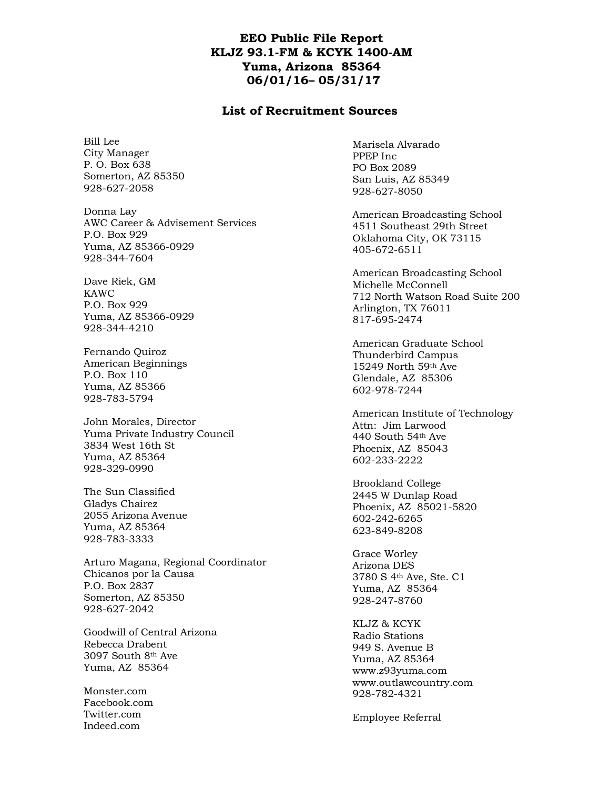#### **EEO Public File Report KLJZ 93.1-FM & KCYK 1400-AM Yuma, Arizona 85364 06/01/16– 05/31/17**

#### **List of Recruitment Sources**

Bill Lee City Manager P. O. Box 638 Somerton, AZ 85350 928-627-2058

Donna Lay AWC Career & Advisement Services P.O. Box 929 Yuma, AZ 85366-0929 928-344-7604

Dave Riek, GM KAWC P.O. Box 929 Yuma, AZ 85366-0929 928-344-4210

Fernando Quiroz American Beginnings P.O. Box 110 Yuma, AZ 85366 928-783-5794

John Morales, Director Yuma Private Industry Council 3834 West 16th St Yuma, AZ 85364 928-329-0990

The Sun Classified Gladys Chairez 2055 Arizona Avenue Yuma, AZ 85364 928-783-3333

Arturo Magana, Regional Coordinator Chicanos por la Causa P.O. Box 2837 Somerton, AZ 85350 928-627-2042

Goodwill of Central Arizona Rebecca Drabent 3097 South 8th Ave Yuma, AZ 85364

Monster.com Facebook.com Twitter.com Indeed.com

Marisela Alvarado PPEP Inc PO Box 2089 San Luis, AZ 85349 928-627-8050

American Broadcasting School 4511 Southeast 29th Street Oklahoma City, OK 73115 405-672-6511

American Broadcasting School Michelle McConnell 712 North Watson Road Suite 200 Arlington, TX 76011 817-695-2474

American Graduate School Thunderbird Campus 15249 North 59th Ave Glendale, AZ 85306 602-978-7244

American Institute of Technology Attn: Jim Larwood 440 South 54th Ave Phoenix, AZ 85043 602-233-2222

Brookland College 2445 W Dunlap Road Phoenix, AZ 85021-5820 602-242-6265 623-849-8208

Grace Worley Arizona DES 3780 S 4th Ave, Ste. C1 Yuma, AZ 85364 928-247-8760

KLJZ & KCYK Radio Stations 949 S. Avenue B Yuma, AZ 85364 www.z93yuma.com www.outlawcountry.com 928-782-4321

Employee Referral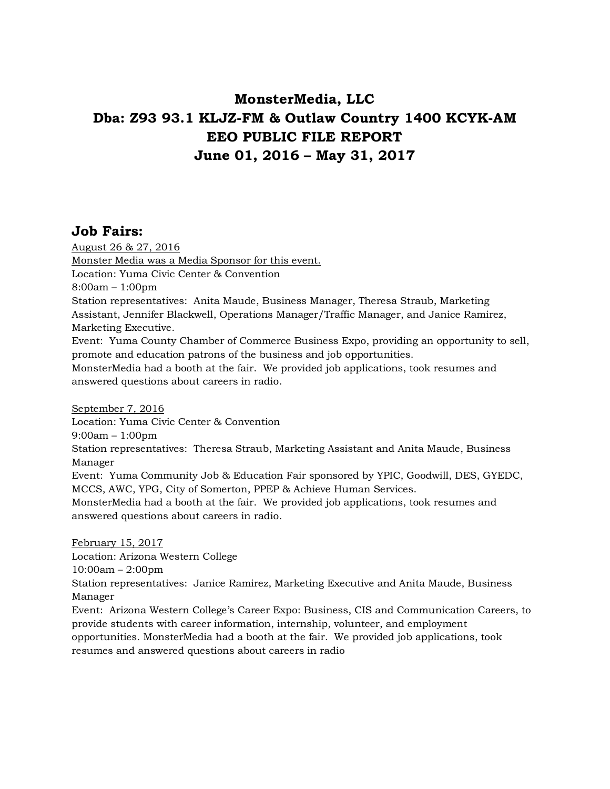# **MonsterMedia, LLC Dba: Z93 93.1 KLJZ-FM & Outlaw Country 1400 KCYK-AM EEO PUBLIC FILE REPORT June 01, 2016 – May 31, 2017**

## **Job Fairs:**

August 26 & 27, 2016 Monster Media was a Media Sponsor for this event. Location: Yuma Civic Center & Convention 8:00am – 1:00pm Station representatives: Anita Maude, Business Manager, Theresa Straub, Marketing Assistant, Jennifer Blackwell, Operations Manager/Traffic Manager, and Janice Ramirez, Marketing Executive. Event: Yuma County Chamber of Commerce Business Expo, providing an opportunity to sell, promote and education patrons of the business and job opportunities. MonsterMedia had a booth at the fair. We provided job applications, took resumes and answered questions about careers in radio. September 7, 2016 Location: Yuma Civic Center & Convention 9:00am – 1:00pm Station representatives: Theresa Straub, Marketing Assistant and Anita Maude, Business Manager Event: Yuma Community Job & Education Fair sponsored by YPIC, Goodwill, DES, GYEDC,

MCCS, AWC, YPG, City of Somerton, PPEP & Achieve Human Services.

MonsterMedia had a booth at the fair. We provided job applications, took resumes and answered questions about careers in radio.

February 15, 2017 Location: Arizona Western College 10:00am – 2:00pm Station representatives: Janice Ramirez, Marketing Executive and Anita Maude, Business Manager Event: Arizona Western College's Career Expo: Business, CIS and Communication Careers, to provide students with career information, internship, volunteer, and employment opportunities. MonsterMedia had a booth at the fair. We provided job applications, took

resumes and answered questions about careers in radio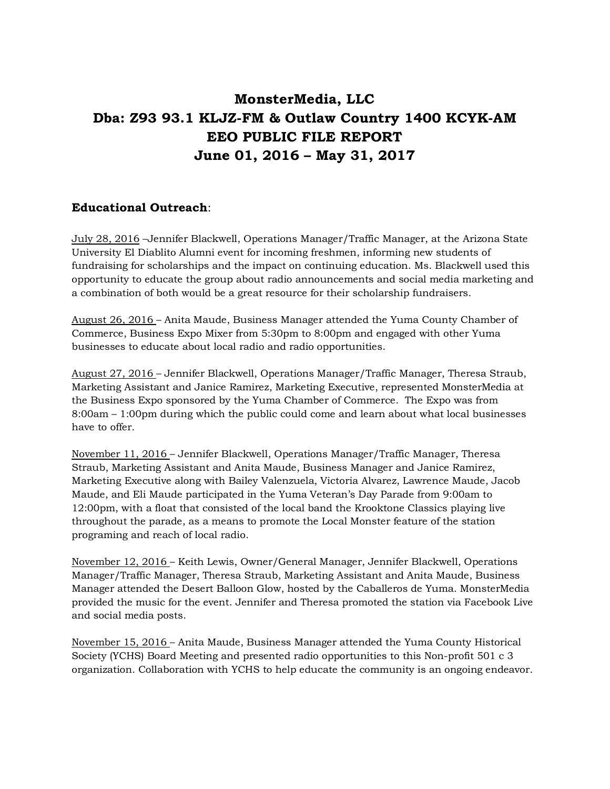# **MonsterMedia, LLC Dba: Z93 93.1 KLJZ-FM & Outlaw Country 1400 KCYK-AM EEO PUBLIC FILE REPORT June 01, 2016 – May 31, 2017**

### **Educational Outreach**:

July 28, 2016 –Jennifer Blackwell, Operations Manager/Traffic Manager, at the Arizona State University El Diablito Alumni event for incoming freshmen, informing new students of fundraising for scholarships and the impact on continuing education. Ms. Blackwell used this opportunity to educate the group about radio announcements and social media marketing and a combination of both would be a great resource for their scholarship fundraisers.

August 26, 2016 – Anita Maude, Business Manager attended the Yuma County Chamber of Commerce, Business Expo Mixer from 5:30pm to 8:00pm and engaged with other Yuma businesses to educate about local radio and radio opportunities.

August 27, 2016 – Jennifer Blackwell, Operations Manager/Traffic Manager, Theresa Straub, Marketing Assistant and Janice Ramirez, Marketing Executive, represented MonsterMedia at the Business Expo sponsored by the Yuma Chamber of Commerce. The Expo was from 8:00am – 1:00pm during which the public could come and learn about what local businesses have to offer.

November 11, 2016 – Jennifer Blackwell, Operations Manager/Traffic Manager, Theresa Straub, Marketing Assistant and Anita Maude, Business Manager and Janice Ramirez, Marketing Executive along with Bailey Valenzuela, Victoria Alvarez, Lawrence Maude, Jacob Maude, and Eli Maude participated in the Yuma Veteran's Day Parade from 9:00am to 12:00pm, with a float that consisted of the local band the Krooktone Classics playing live throughout the parade, as a means to promote the Local Monster feature of the station programing and reach of local radio.

November 12, 2016 – Keith Lewis, Owner/General Manager, Jennifer Blackwell, Operations Manager/Traffic Manager, Theresa Straub, Marketing Assistant and Anita Maude, Business Manager attended the Desert Balloon Glow, hosted by the Caballeros de Yuma. MonsterMedia provided the music for the event. Jennifer and Theresa promoted the station via Facebook Live and social media posts.

November 15, 2016 – Anita Maude, Business Manager attended the Yuma County Historical Society (YCHS) Board Meeting and presented radio opportunities to this Non-profit 501 c 3 organization. Collaboration with YCHS to help educate the community is an ongoing endeavor.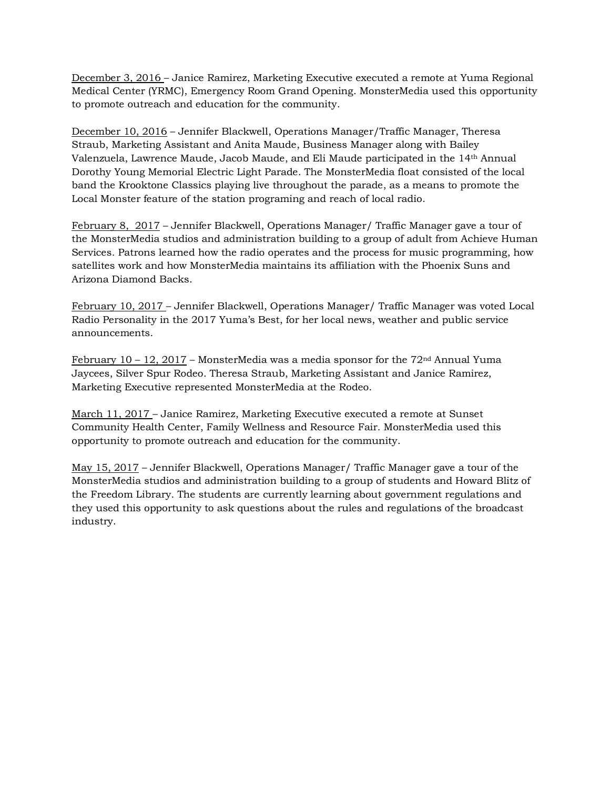December 3, 2016 – Janice Ramirez, Marketing Executive executed a remote at Yuma Regional Medical Center (YRMC), Emergency Room Grand Opening. MonsterMedia used this opportunity to promote outreach and education for the community.

December 10, 2016 – Jennifer Blackwell, Operations Manager/Traffic Manager, Theresa Straub, Marketing Assistant and Anita Maude, Business Manager along with Bailey Valenzuela, Lawrence Maude, Jacob Maude, and Eli Maude participated in the 14th Annual Dorothy Young Memorial Electric Light Parade. The MonsterMedia float consisted of the local band the Krooktone Classics playing live throughout the parade, as a means to promote the Local Monster feature of the station programing and reach of local radio.

February 8, 2017 – Jennifer Blackwell, Operations Manager/ Traffic Manager gave a tour of the MonsterMedia studios and administration building to a group of adult from Achieve Human Services. Patrons learned how the radio operates and the process for music programming, how satellites work and how MonsterMedia maintains its affiliation with the Phoenix Suns and Arizona Diamond Backs.

February 10, 2017 – Jennifer Blackwell, Operations Manager/ Traffic Manager was voted Local Radio Personality in the 2017 Yuma's Best, for her local news, weather and public service announcements.

February 10 – 12, 2017 – MonsterMedia was a media sponsor for the  $72<sup>nd</sup>$  Annual Yuma Jaycees, Silver Spur Rodeo. Theresa Straub, Marketing Assistant and Janice Ramirez, Marketing Executive represented MonsterMedia at the Rodeo.

March 11, 2017 – Janice Ramirez, Marketing Executive executed a remote at Sunset Community Health Center, Family Wellness and Resource Fair. MonsterMedia used this opportunity to promote outreach and education for the community.

May 15, 2017 – Jennifer Blackwell, Operations Manager/ Traffic Manager gave a tour of the MonsterMedia studios and administration building to a group of students and Howard Blitz of the Freedom Library. The students are currently learning about government regulations and they used this opportunity to ask questions about the rules and regulations of the broadcast industry.